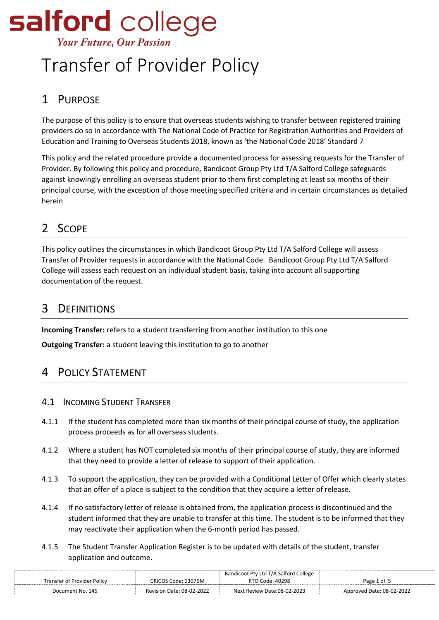# salford college **Your Future, Our Passion**

# Transfer of Provider Policy

# 1 PURPOSE

The purpose of this policy is to ensure that overseas students wishing to transfer between registered training providers do so in accordance with The National Code of Practice for Registration Authorities and Providers of Education and Training to Overseas Students 2018, known as 'the National Code 2018' Standard 7

This policy and the related procedure provide a documented process for assessing requests for the Transfer of Provider. By following this policy and procedure, Bandicoot Group Pty Ltd T/A Salford College safeguards against knowingly enrolling an overseas student prior to them first completing at least six months of their principal course, with the exception of those meeting specified criteria and in certain circumstances as detailed herein

## 2 SCOPE

This policy outlines the circumstances in which Bandicoot Group Pty Ltd T/A Salford College will assess Transfer of Provider requests in accordance with the National Code. Bandicoot Group Pty Ltd T/A Salford College will assess each request on an individual student basis, taking into account all supporting documentation of the request.

## 3 DEFINITIONS

**Incoming Transfer:** refers to a student transferring from another institution to this one

**Outgoing Transfer:** a student leaving this institution to go to another

## 4 POLICY STATEMENT

- 4.1 INCOMING STUDENT TRANSFER
- 4.1.1 If the student has completed more than six months of their principal course of study, the application process proceeds as for all overseas students.
- 4.1.2 Where a student has NOT completed six months of their principal course of study, they are informed that they need to provide a letter of release to support of their application.
- 4.1.3 To support the application, they can be provided with a Conditional Letter of Offer which clearly states that an offer of a place is subject to the condition that they acquire a letter of release.
- 4.1.4 If no satisfactory letter of release is obtained from, the application process is discontinued and the student informed that they are unable to transfer at this time. The student is to be informed that they may reactivate their application when the 6-month period has passed.
- 4.1.5 The Student Transfer Application Register is to be updated with details of the student, transfer application and outcome.

|                             |                           | Bandicoot Pty Ltd T/A Salford College |                           |
|-----------------------------|---------------------------|---------------------------------------|---------------------------|
| Transfer of Provider Policv | CRICOS Code: 03076M       | RTO Code: 40298                       | Page 1 of 5               |
| Document No. 145            | Revision Date: 08-02-2022 | Next Review Date:08-02-2023           | Approved Date: 08-02-2022 |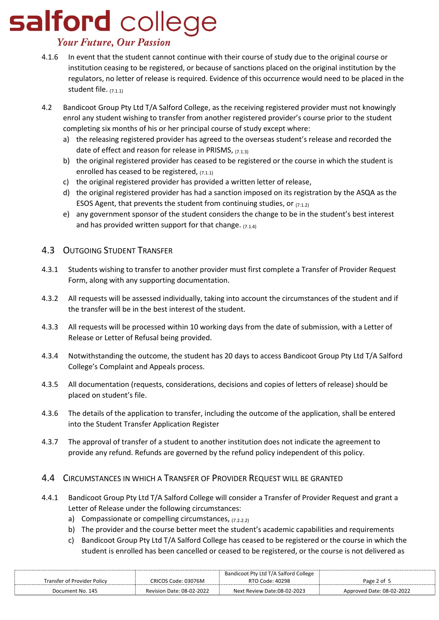# salford college

### **Your Future, Our Passion**

- 4.1.6 In event that the student cannot continue with their course of study due to the original course or institution ceasing to be registered, or because of sanctions placed on the original institution by the regulators, no letter of release is required. Evidence of this occurrence would need to be placed in the student file. (7.1.1)
- 4.2 Bandicoot Group Pty Ltd T/A Salford College, as the receiving registered provider must not knowingly enrol any student wishing to transfer from another registered provider's course prior to the student completing six months of his or her principal course of study except where:
	- a) the releasing registered provider has agreed to the overseas student's release and recorded the date of effect and reason for release in PRISMS,  $(7.1.3)$
	- b) the original registered provider has ceased to be registered or the course in which the student is enrolled has ceased to be registered,  $(7.1.1)$
	- c) the original registered provider has provided a written letter of release,
	- d) the original registered provider has had a sanction imposed on its registration by the ASQA as the ESOS Agent, that prevents the student from continuing studies, or  $(7.1.2)$
	- e) any government sponsor of the student considers the change to be in the student's best interest and has provided written support for that change.  $(7.1.4)$

#### 4.3 OUTGOING STUDENT TRANSFER

- 4.3.1 Students wishing to transfer to another provider must first complete a Transfer of Provider Request Form, along with any supporting documentation.
- 4.3.2 All requests will be assessed individually, taking into account the circumstances of the student and if the transfer will be in the best interest of the student.
- 4.3.3 All requests will be processed within 10 working days from the date of submission, with a Letter of Release or Letter of Refusal being provided.
- 4.3.4 Notwithstanding the outcome, the student has 20 days to access Bandicoot Group Pty Ltd T/A Salford College's Complaint and Appeals process.
- 4.3.5 All documentation (requests, considerations, decisions and copies of letters of release) should be placed on student's file.
- 4.3.6 The details of the application to transfer, including the outcome of the application, shall be entered into the Student Transfer Application Register
- 4.3.7 The approval of transfer of a student to another institution does not indicate the agreement to provide any refund. Refunds are governed by the refund policy independent of this policy.

#### 4.4 CIRCUMSTANCES IN WHICH A TRANSFER OF PROVIDER REQUEST WILL BE GRANTED

- 4.4.1 Bandicoot Group Pty Ltd T/A Salford College will consider a Transfer of Provider Request and grant a Letter of Release under the following circumstances:
	- a) Compassionate or compelling circumstances,  $(7.2.2.2)$
	- b) The provider and the course better meet the student's academic capabilities and requirements
	- c) Bandicoot Group Pty Ltd T/A Salford College has ceased to be registered or the course in which the student is enrolled has been cancelled or ceased to be registered, or the course is not delivered as

|                             |                           | Bandicoot Pty Ltd T/A Salford College |                           |
|-----------------------------|---------------------------|---------------------------------------|---------------------------|
| Transfer of Provider Policv | CRICOS Code: 03076M       | RTO Code: 40298                       | Page 2 of 5               |
| Document No. 145            | Revision Date: 08-02-2022 | Next Review Date:08-02-2023           | Approved Date: 08-02-2022 |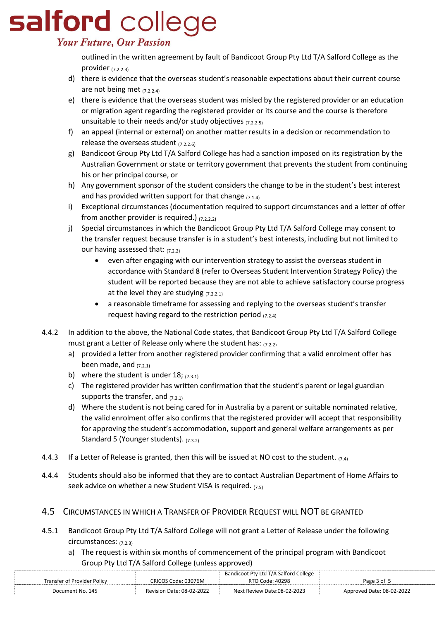# salford college **Your Future, Our Passion**

outlined in the written agreement by fault of Bandicoot Group Pty Ltd T/A Salford College as the provider (7.2.2.3)

- d) there is evidence that the overseas student's reasonable expectations about their current course are not being met (7.2.2.4)
- e) there is evidence that the overseas student was misled by the registered provider or an education or migration agent regarding the registered provider or its course and the course is therefore unsuitable to their needs and/or study objectives  $(7.2.2.5)$
- f) an appeal (internal or external) on another matter results in a decision or recommendation to release the overseas student  $(7.2.2.6)$
- g) Bandicoot Group Pty Ltd T/A Salford College has had a sanction imposed on its registration by the Australian Government or state or territory government that prevents the student from continuing his or her principal course, or
- h) Any government sponsor of the student considers the change to be in the student's best interest and has provided written support for that change  $(7.1.4)$
- i) Exceptional circumstances (documentation required to support circumstances and a letter of offer from another provider is required.)  $(7.2.2.2)$
- j) Special circumstances in which the Bandicoot Group Pty Ltd T/A Salford College may consent to the transfer request because transfer is in a student's best interests, including but not limited to our having assessed that:  $(7.2.2)$ 
	- even after engaging with our intervention strategy to assist the overseas student in accordance with Standard 8 (refer to Overseas Student Intervention Strategy Policy) the student will be reported because they are not able to achieve satisfactory course progress at the level they are studying  $(7.2.2.1)$
	- a reasonable timeframe for assessing and replying to the overseas student's transfer request having regard to the restriction period  $(7.2.4)$
- 4.4.2 In addition to the above, the National Code states, that Bandicoot Group Pty Ltd T/A Salford College must grant a Letter of Release only where the student has:  $(7.2.2)$ 
	- a) provided a letter from another registered provider confirming that a valid enrolment offer has been made, and  $(7.2.1)$
	- b) where the student is under  $18$ ; (7.3.1)
	- c) The registered provider has written confirmation that the student's parent or legal guardian supports the transfer, and  $(7.3.1)$
	- d) Where the student is not being cared for in Australia by a parent or suitable nominated relative, the valid enrolment offer also confirms that the registered provider will accept that responsibility for approving the student's accommodation, support and general welfare arrangements as per Standard 5 (Younger students). (7.3.2)
- 4.4.3 If a Letter of Release is granted, then this will be issued at NO cost to the student.  $_{(7,4)}$
- 4.4.4 Students should also be informed that they are to contact Australian Department of Home Affairs to seek advice on whether a new Student VISA is required.  $(7.5)$

### 4.5 CIRCUMSTANCES IN WHICH A TRANSFER OF PROVIDER REQUEST WILL NOT BE GRANTED

- 4.5.1 Bandicoot Group Pty Ltd T/A Salford College will not grant a Letter of Release under the following circumstances: (7.2.3)
	- a) The request is within six months of commencement of the principal program with Bandicoot Group Pty Ltd T/A Salford College (unless approved)

|                             |                           | Bandicoot Pty Ltd T/A Salford College |                           |
|-----------------------------|---------------------------|---------------------------------------|---------------------------|
| Transfer of Provider Policv | CRICOS Code: 03076M       | RTO Code: 40298                       | Page 3 of 5               |
| Document No. 145            | Revision Date: 08-02-2022 | Next Review Date:08-02-2023           | Approved Date: 08-02-2022 |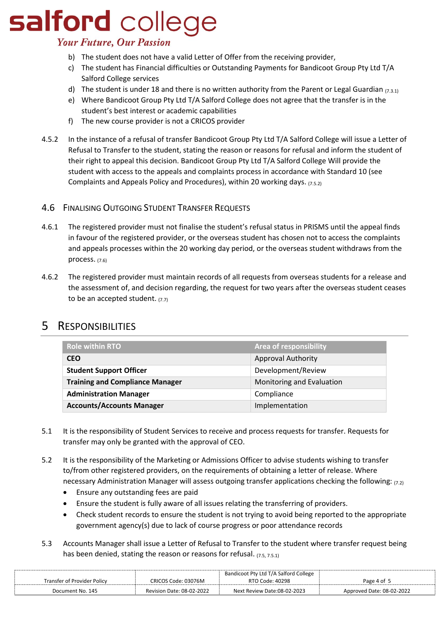# salford college

### **Your Future, Our Passion**

- b) The student does not have a valid Letter of Offer from the receiving provider,
- c) The student has Financial difficulties or Outstanding Payments for Bandicoot Group Pty Ltd T/A Salford College services
- d) The student is under 18 and there is no written authority from the Parent or Legal Guardian  $(7.3.1)$
- e) Where Bandicoot Group Pty Ltd T/A Salford College does not agree that the transfer is in the student's best interest or academic capabilities
- f) The new course provider is not a CRICOS provider
- 4.5.2 In the instance of a refusal of transfer Bandicoot Group Pty Ltd T/A Salford College will issue a Letter of Refusal to Transfer to the student, stating the reason or reasons for refusal and inform the student of their right to appeal this decision. Bandicoot Group Pty Ltd T/A Salford College Will provide the student with access to the appeals and complaints process in accordance with Standard 10 (see Complaints and Appeals Policy and Procedures), within 20 working days. (7.5.2)

#### 4.6 FINALISING OUTGOING STUDENT TRANSFER REQUESTS

- 4.6.1 The registered provider must not finalise the student's refusal status in PRISMS until the appeal finds in favour of the registered provider, or the overseas student has chosen not to access the complaints and appeals processes within the 20 working day period, or the overseas student withdraws from the process. (7.6)
- 4.6.2 The registered provider must maintain records of all requests from overseas students for a release and the assessment of, and decision regarding, the request for two years after the overseas student ceases to be an accepted student.  $(7.7)$

### 5 RESPONSIBILITIES

| <b>Role within RTO</b>                 | <b>Area of responsibility</b> |
|----------------------------------------|-------------------------------|
| <b>CEO</b>                             | <b>Approval Authority</b>     |
| <b>Student Support Officer</b>         | Development/Review            |
| <b>Training and Compliance Manager</b> | Monitoring and Evaluation     |
| <b>Administration Manager</b>          | Compliance                    |
| <b>Accounts/Accounts Manager</b>       | Implementation                |

- 5.1 It is the responsibility of Student Services to receive and process requests for transfer. Requests for transfer may only be granted with the approval of CEO.
- 5.2 It is the responsibility of the Marketing or Admissions Officer to advise students wishing to transfer to/from other registered providers, on the requirements of obtaining a letter of release. Where necessary Administration Manager will assess outgoing transfer applications checking the following:  $(7.2)$ 
	- Ensure any outstanding fees are paid
	- Ensure the student is fully aware of all issues relating the transferring of providers.
	- Check student records to ensure the student is not trying to avoid being reported to the appropriate government agency(s) due to lack of course progress or poor attendance records
- 5.3 Accounts Manager shall issue a Letter of Refusal to Transfer to the student where transfer request being has been denied, stating the reason or reasons for refusal. (7.5, 7.5.1)

|                             | Bandicoot Pty Ltd T/A Salford College |                             |                           |
|-----------------------------|---------------------------------------|-----------------------------|---------------------------|
| Transfer of Provider Policy | CRICOS Code: 03076M                   | RTO Code: 40298             | Page 4 of 5               |
| Document No. 145            | <b>Revision Date: 08-02-2022</b>      | Next Review Date:08-02-2023 | Approved Date: 08-02-2022 |